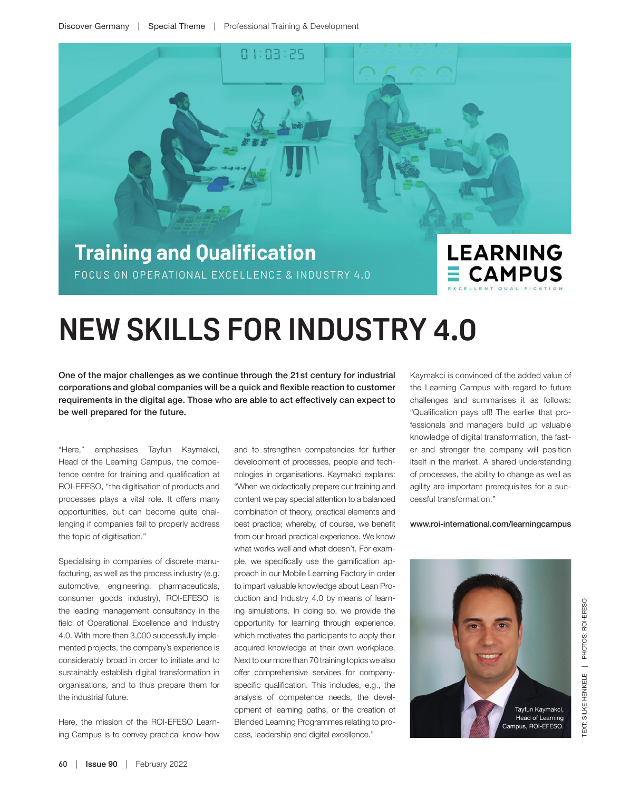

## **NEW SKILLS FOR INDUSTRY 4.0**

One of the major challenges as we continue through the 21st century for industrial corporations and global companies will be a quick and flexible reaction to customer requirements in the digital age. Those who are able to act effectively can expect to be well prepared for the future.

"Here," emphasises Tayfun Kaymakci, Head of the Learning Campus, the competence centre for training and qualification at ROI-EFESO, "the digitisation of products and processes plays a vital role. It offers many opportunities, but can become quite challenging if companies fail to properly address the topic of digitisation."

Specialising in companies of discrete manufacturing, as well as the process industry (e.g. automotive, engineering, pharmaceuticals, consumer goods industry), ROI-EFESO is the leading management consultancy in the field of Operational Excellence and Industry 4.0. With more than 3,000 successfully implemented projects, the company's experience is considerably broad in order to initiate and to sustainably establish digital transformation in organisations, and to thus prepare them for the industrial future.

Here, the mission of the ROI-EFESO Learning Campus is to convey practical know-how and to strengthen competencies for further development of processes, people and technologies in organisations. Kaymakci explains: "When we didactically prepare our training and content we pay special attention to a balanced combination of theory, practical elements and best practice; whereby, of course, we benefit from our broad practical experience. We know what works well and what doesn't. For example, we specifically use the gamification approach in our Mobile Learning Factory in order to impart valuable knowledge about Lean Production and Industry 4.0 by means of learning simulations. In doing so, we provide the opportunity for learning through experience, which motivates the participants to apply their acquired knowledge at their own workplace. Next to our more than 70 training topics we also offer comprehensive services for companyspecific qualification. This includes, e.g., the analysis of competence needs, the development of learning paths, or the creation of Blended Learning Programmes relating to process, leadership and digital excellence."

Kaymakci is convinced of the added value of the Learning Campus with regard to future challenges and summarises it as follows: "Qualification pays off! The earlier that professionals and managers build up valuable knowledge of digital transformation, the faster and stronger the company will position itself in the market. A shared understanding of processes, the ability to change as well as agility are important prerequisites for a successful transformation."

## www.roi-international.com/learningcampus